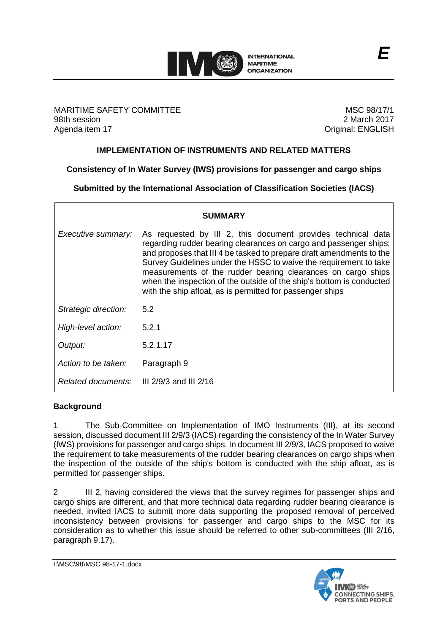

MARITIME SAFETY COMMITTEE 98th session Agenda item 17

MSC 98/17/1 2 March 2017 Original: ENGLISH

### **IMPLEMENTATION OF INSTRUMENTS AND RELATED MATTERS**

**Consistency of In Water Survey (IWS) provisions for passenger and cargo ships**

**Submitted by the International Association of Classification Societies (IACS)**

|                      | <b>SUMMARY</b>                                                                                                                                                                                                                                                                                                                                                                                                                                                                      |
|----------------------|-------------------------------------------------------------------------------------------------------------------------------------------------------------------------------------------------------------------------------------------------------------------------------------------------------------------------------------------------------------------------------------------------------------------------------------------------------------------------------------|
| Executive summary:   | As requested by III 2, this document provides technical data<br>regarding rudder bearing clearances on cargo and passenger ships;<br>and proposes that III 4 be tasked to prepare draft amendments to the<br>Survey Guidelines under the HSSC to waive the requirement to take<br>measurements of the rudder bearing clearances on cargo ships<br>when the inspection of the outside of the ship's bottom is conducted<br>with the ship afloat, as is permitted for passenger ships |
| Strategic direction: | 5.2                                                                                                                                                                                                                                                                                                                                                                                                                                                                                 |
| High-level action:   | 5.2.1                                                                                                                                                                                                                                                                                                                                                                                                                                                                               |
| Output:              | 5.2.1.17                                                                                                                                                                                                                                                                                                                                                                                                                                                                            |
| Action to be taken:  | Paragraph 9                                                                                                                                                                                                                                                                                                                                                                                                                                                                         |
| Related documents:   | III $2/9/3$ and III $2/16$                                                                                                                                                                                                                                                                                                                                                                                                                                                          |

### **Background**

1 The Sub-Committee on Implementation of IMO Instruments (III), at its second session, discussed document III 2/9/3 (IACS) regarding the consistency of the In Water Survey (IWS) provisions for passenger and cargo ships. In document III 2/9/3, IACS proposed to waive the requirement to take measurements of the rudder bearing clearances on cargo ships when the inspection of the outside of the ship's bottom is conducted with the ship afloat, as is permitted for passenger ships.

2 III 2, having considered the views that the survey regimes for passenger ships and cargo ships are different, and that more technical data regarding rudder bearing clearance is needed, invited IACS to submit more data supporting the proposed removal of perceived inconsistency between provisions for passenger and cargo ships to the MSC for its consideration as to whether this issue should be referred to other sub-committees (III 2/16, paragraph 9.17).

I:\MSC\98\MSC 98-17-1.docx

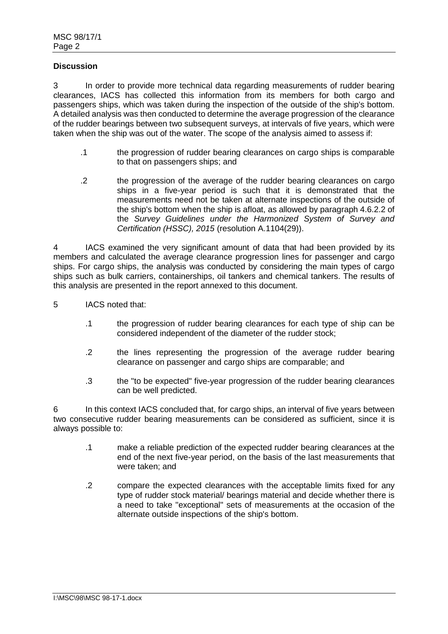### **Discussion**

3 In order to provide more technical data regarding measurements of rudder bearing clearances, IACS has collected this information from its members for both cargo and passengers ships, which was taken during the inspection of the outside of the ship's bottom. A detailed analysis was then conducted to determine the average progression of the clearance of the rudder bearings between two subsequent surveys, at intervals of five years, which were taken when the ship was out of the water. The scope of the analysis aimed to assess if:

- .1 the progression of rudder bearing clearances on cargo ships is comparable to that on passengers ships; and
- .2 the progression of the average of the rudder bearing clearances on cargo ships in a five-year period is such that it is demonstrated that the measurements need not be taken at alternate inspections of the outside of the ship's bottom when the ship is afloat, as allowed by paragraph 4.6.2.2 of the *Survey Guidelines under the Harmonized System of Survey and Certification (HSSC), 2015* (resolution A.1104(29)).

4 IACS examined the very significant amount of data that had been provided by its members and calculated the average clearance progression lines for passenger and cargo ships. For cargo ships, the analysis was conducted by considering the main types of cargo ships such as bulk carriers, containerships, oil tankers and chemical tankers. The results of this analysis are presented in the report annexed to this document.

- 5 IACS noted that:
	- .1 the progression of rudder bearing clearances for each type of ship can be considered independent of the diameter of the rudder stock;
	- .2 the lines representing the progression of the average rudder bearing clearance on passenger and cargo ships are comparable; and
	- .3 the "to be expected" five-year progression of the rudder bearing clearances can be well predicted.

6 In this context IACS concluded that, for cargo ships, an interval of five years between two consecutive rudder bearing measurements can be considered as sufficient, since it is always possible to:

- .1 make a reliable prediction of the expected rudder bearing clearances at the end of the next five-year period, on the basis of the last measurements that were taken; and
- .2 compare the expected clearances with the acceptable limits fixed for any type of rudder stock material/ bearings material and decide whether there is a need to take "exceptional" sets of measurements at the occasion of the alternate outside inspections of the ship's bottom.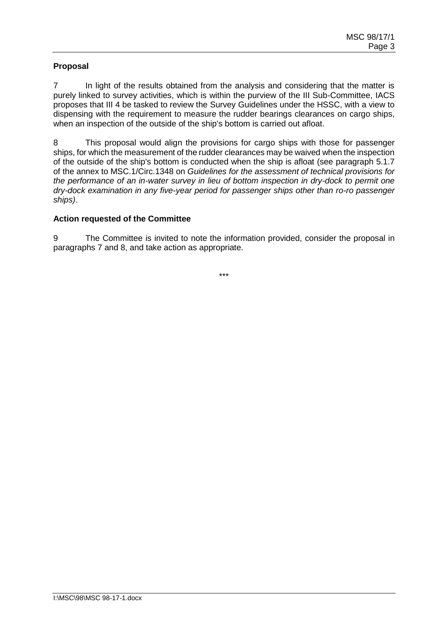# **Proposal**

7 In light of the results obtained from the analysis and considering that the matter is purely linked to survey activities, which is within the purview of the III Sub-Committee, IACS proposes that III 4 be tasked to review the Survey Guidelines under the HSSC, with a view to dispensing with the requirement to measure the rudder bearings clearances on cargo ships, when an inspection of the outside of the ship's bottom is carried out afloat.

8 This proposal would align the provisions for cargo ships with those for passenger ships, for which the measurement of the rudder clearances may be waived when the inspection of the outside of the ship's bottom is conducted when the ship is afloat (see paragraph 5.1.7 of the annex to MSC.1/Circ.1348 on *Guidelines for the assessment of technical provisions for the performance of an in-water survey in lieu of bottom inspection in dry-dock to permit one dry-dock examination in any five-year period for passenger ships other than ro-ro passenger ships)*.

### **Action requested of the Committee**

9 The Committee is invited to note the information provided, consider the proposal in paragraphs 7 and 8, and take action as appropriate.

\*\*\*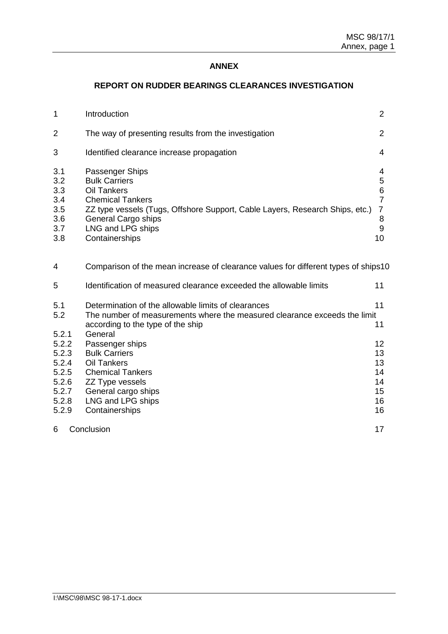# **ANNEX**

# **REPORT ON RUDDER BEARINGS CLEARANCES INVESTIGATION**

| $\mathbf 1$                                                                   | Introduction                                                                                                                                                                                                                           | $\overline{2}$                                                             |
|-------------------------------------------------------------------------------|----------------------------------------------------------------------------------------------------------------------------------------------------------------------------------------------------------------------------------------|----------------------------------------------------------------------------|
| 2                                                                             | The way of presenting results from the investigation                                                                                                                                                                                   | $\overline{2}$                                                             |
| 3                                                                             | Identified clearance increase propagation                                                                                                                                                                                              | 4                                                                          |
| 3.1<br>3.2<br>3.3<br>3.4<br>3.5<br>3.6<br>3.7<br>3.8                          | Passenger Ships<br><b>Bulk Carriers</b><br><b>Oil Tankers</b><br><b>Chemical Tankers</b><br>ZZ type vessels (Tugs, Offshore Support, Cable Layers, Research Ships, etc.)<br>General Cargo ships<br>LNG and LPG ships<br>Containerships | 4<br>$\mathbf 5$<br>$6\phantom{1}6$<br>$\overline{7}$<br>7<br>8<br>9<br>10 |
| 4                                                                             | Comparison of the mean increase of clearance values for different types of ships10                                                                                                                                                     |                                                                            |
| 5                                                                             | Identification of measured clearance exceeded the allowable limits                                                                                                                                                                     | 11                                                                         |
| 5.1<br>5.2                                                                    | Determination of the allowable limits of clearances<br>The number of measurements where the measured clearance exceeds the limit<br>according to the type of the ship                                                                  | 11<br>11                                                                   |
| 5.2.1<br>5.2.2<br>5.2.3<br>5.2.4<br>5.2.5<br>5.2.6<br>5.2.7<br>5.2.8<br>5.2.9 | General<br>Passenger ships<br><b>Bulk Carriers</b><br><b>Oil Tankers</b><br><b>Chemical Tankers</b><br>ZZ Type vessels<br>General cargo ships<br>LNG and LPG ships<br>Containerships                                                   | 12<br>13<br>13<br>14<br>14<br>15<br>16<br>16                               |
| 6                                                                             | Conclusion                                                                                                                                                                                                                             | 17                                                                         |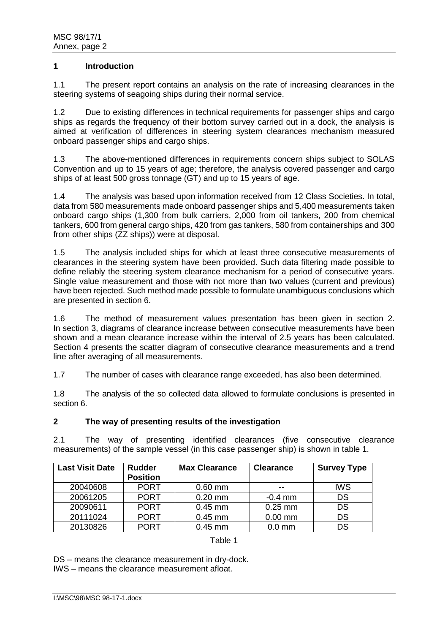#### **1 Introduction**

1.1 The present report contains an analysis on the rate of increasing clearances in the steering systems of seagoing ships during their normal service.

1.2 Due to existing differences in technical requirements for passenger ships and cargo ships as regards the frequency of their bottom survey carried out in a dock, the analysis is aimed at verification of differences in steering system clearances mechanism measured onboard passenger ships and cargo ships.

1.3 The above-mentioned differences in requirements concern ships subject to SOLAS Convention and up to 15 years of age; therefore, the analysis covered passenger and cargo ships of at least 500 gross tonnage (GT) and up to 15 years of age.

1.4 The analysis was based upon information received from 12 Class Societies. In total, data from 580 measurements made onboard passenger ships and 5,400 measurements taken onboard cargo ships (1,300 from bulk carriers, 2,000 from oil tankers, 200 from chemical tankers, 600 from general cargo ships, 420 from gas tankers, 580 from containerships and 300 from other ships (ZZ ships)) were at disposal.

1.5 The analysis included ships for which at least three consecutive measurements of clearances in the steering system have been provided. Such data filtering made possible to define reliably the steering system clearance mechanism for a period of consecutive years. Single value measurement and those with not more than two values (current and previous) have been rejected. Such method made possible to formulate unambiguous conclusions which are presented in section 6.

1.6 The method of measurement values presentation has been given in section 2. In section 3, diagrams of clearance increase between consecutive measurements have been shown and a mean clearance increase within the interval of 2.5 years has been calculated. Section 4 presents the scatter diagram of consecutive clearance measurements and a trend line after averaging of all measurements.

1.7 The number of cases with clearance range exceeded, has also been determined.

1.8 The analysis of the so collected data allowed to formulate conclusions is presented in section 6.

### **2 The way of presenting results of the investigation**

2.1 The way of presenting identified clearances (five consecutive clearance measurements) of the sample vessel (in this case passenger ship) is shown in table 1.

| <b>Last Visit Date</b> | <b>Rudder</b><br><b>Position</b> | <b>Max Clearance</b> | <b>Clearance</b> | <b>Survey Type</b> |
|------------------------|----------------------------------|----------------------|------------------|--------------------|
| 20040608               | <b>PORT</b>                      | $0.60$ mm            | --               | <b>IWS</b>         |
| 20061205               | <b>PORT</b>                      | $0.20$ mm            | $-0.4$ mm        | <b>DS</b>          |
| 20090611               | <b>PORT</b>                      | $0.45$ mm            | $0.25$ mm        | <b>DS</b>          |
| 20111024               | <b>PORT</b>                      | $0.45$ mm            | $0.00$ mm        | <b>DS</b>          |
| 20130826               | <b>PORT</b>                      | $0.45$ mm            | $0.0$ mm         | <b>DS</b>          |

#### Table 1

DS – means the clearance measurement in dry-dock.

IWS – means the clearance measurement afloat.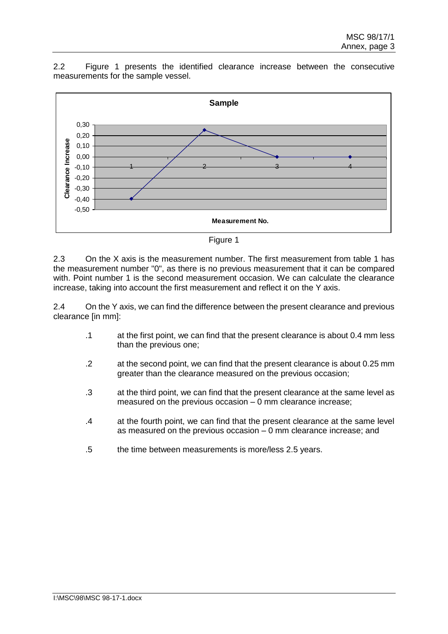2.2 Figure 1 presents the identified clearance increase between the consecutive measurements for the sample vessel.



Figure 1

2.3 On the X axis is the measurement number. The first measurement from table 1 has the measurement number "0", as there is no previous measurement that it can be compared with. Point number 1 is the second measurement occasion. We can calculate the clearance increase, taking into account the first measurement and reflect it on the Y axis.

2.4 On the Y axis, we can find the difference between the present clearance and previous clearance [in mm]:

- .1 at the first point, we can find that the present clearance is about 0.4 mm less than the previous one;
- .2 at the second point, we can find that the present clearance is about 0.25 mm greater than the clearance measured on the previous occasion;
- .3 at the third point, we can find that the present clearance at the same level as measured on the previous occasion – 0 mm clearance increase;
- .4 at the fourth point, we can find that the present clearance at the same level as measured on the previous occasion – 0 mm clearance increase; and
- .5 the time between measurements is more/less 2.5 years.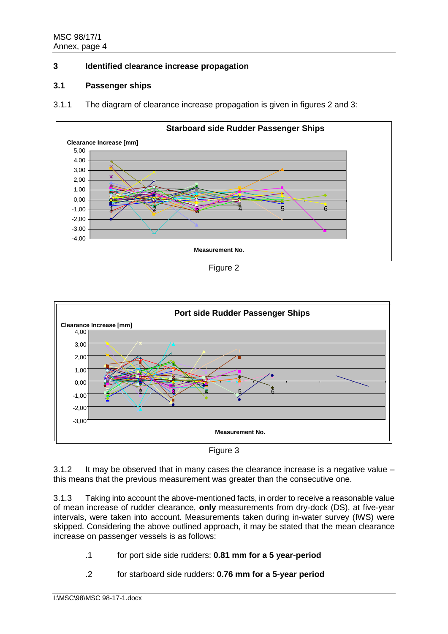# **3 Identified clearance increase propagation**

### **3.1 Passenger ships**

3.1.1 The diagram of clearance increase propagation is given in figures 2 and 3:



Figure 2



Figure 3

3.1.2 It may be observed that in many cases the clearance increase is a negative value – this means that the previous measurement was greater than the consecutive one.

3.1.3 Taking into account the above-mentioned facts, in order to receive a reasonable value of mean increase of rudder clearance, **only** measurements from dry-dock (DS), at five-year intervals, were taken into account. Measurements taken during in-water survey (IWS) were skipped. Considering the above outlined approach, it may be stated that the mean clearance increase on passenger vessels is as follows:

- .1 for port side side rudders: **0.81 mm for a 5 year-period**
- .2 for starboard side rudders: **0.76 mm for a 5-year period**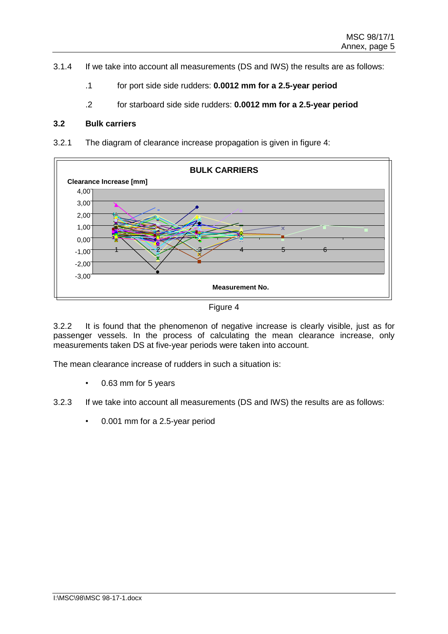- 3.1.4 If we take into account all measurements (DS and IWS) the results are as follows:
	- .1 for port side side rudders: **0.0012 mm for a 2.5-year period**
	- .2 for starboard side side rudders: **0.0012 mm for a 2.5-year period**

### **3.2 Bulk carriers**

3.2.1 The diagram of clearance increase propagation is given in figure 4:



Figure 4

3.2.2 It is found that the phenomenon of negative increase is clearly visible, just as for passenger vessels. In the process of calculating the mean clearance increase, only measurements taken DS at five-year periods were taken into account.

The mean clearance increase of rudders in such a situation is:

- 0.63 mm for 5 years
- 3.2.3 If we take into account all measurements (DS and IWS) the results are as follows:
	- 0.001 mm for a 2.5-year period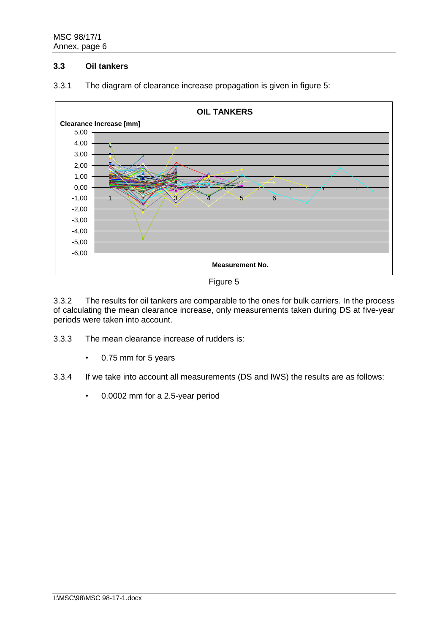# **3.3 Oil tankers**



3.3.1 The diagram of clearance increase propagation is given in figure 5:



3.3.2 The results for oil tankers are comparable to the ones for bulk carriers. In the process of calculating the mean clearance increase, only measurements taken during DS at five-year periods were taken into account.

- 3.3.3 The mean clearance increase of rudders is:
	- 0.75 mm for 5 years
- 3.3.4 If we take into account all measurements (DS and IWS) the results are as follows:
	- 0.0002 mm for a 2.5-year period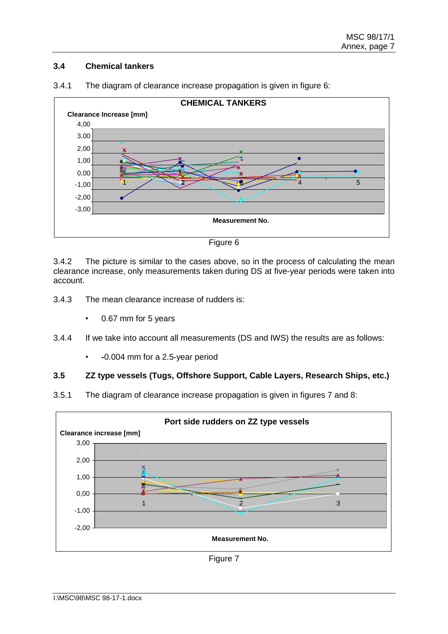# **3.4 Chemical tankers**



3.4.1 The diagram of clearance increase propagation is given in figure 6:



3.4.2 The picture is similar to the cases above, so in the process of calculating the mean clearance increase, only measurements taken during DS at five-year periods were taken into account.

- 3.4.3 The mean clearance increase of rudders is:
	- 0.67 mm for 5 years
- 3.4.4 If we take into account all measurements (DS and IWS) the results are as follows:
	- **-**0.004 mm for a 2.5-year period

# **3.5 ZZ type vessels (Tugs, Offshore Support, Cable Layers, Research Ships, etc.)**

3.5.1 The diagram of clearance increase propagation is given in figures 7 and 8:



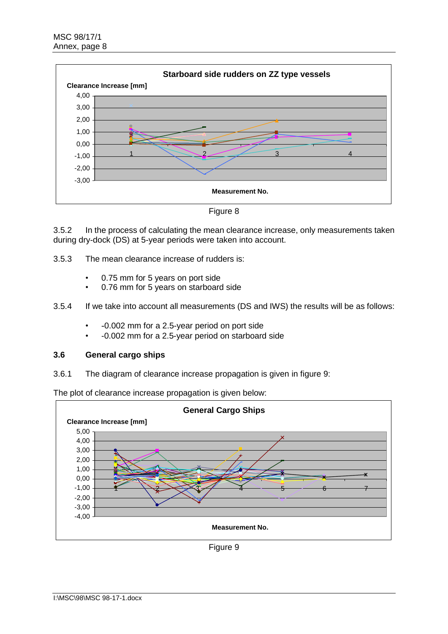

Figure 8

3.5.2 In the process of calculating the mean clearance increase, only measurements taken during dry-dock (DS) at 5-year periods were taken into account.

3.5.3 The mean clearance increase of rudders is:

- 0.75 mm for 5 years on port side
- 0.76 mm for 5 years on starboard side
- 3.5.4 If we take into account all measurements (DS and IWS) the results will be as follows:
	- -0.002 mm for a 2.5-year period on port side
	- -0.002 mm for a 2.5-year period on starboard side

#### **3.6 General cargo ships**

3.6.1 The diagram of clearance increase propagation is given in figure 9:

The plot of clearance increase propagation is given below:



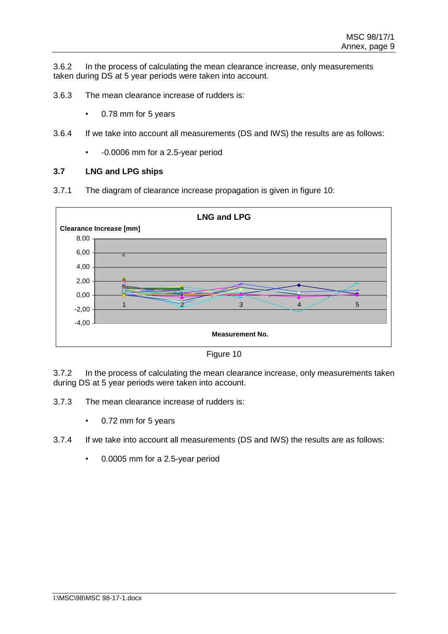3.6.2 In the process of calculating the mean clearance increase, only measurements taken during DS at 5 year periods were taken into account.

- 3.6.3 The mean clearance increase of rudders is:
	- 0.78 mm for 5 years
- 3.6.4 If we take into account all measurements (DS and IWS) the results are as follows:
	- -0.0006 mm for a 2.5-year period

#### **3.7 LNG and LPG ships**

3.7.1 The diagram of clearance increase propagation is given in figure 10:





3.7.2 In the process of calculating the mean clearance increase, only measurements taken during DS at 5 year periods were taken into account.

- 3.7.3 The mean clearance increase of rudders is:
	- 0.72 mm for 5 years
- 3.7.4 If we take into account all measurements (DS and IWS) the results are as follows:
	- 0.0005 mm for a 2.5-year period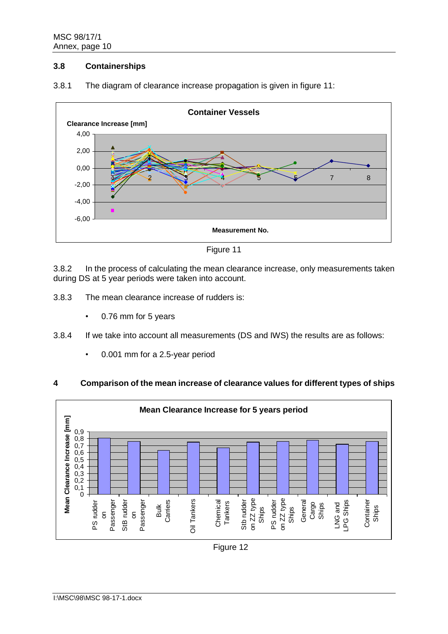## **3.8 Containerships**



3.8.1 The diagram of clearance increase propagation is given in figure 11:



3.8.2 In the process of calculating the mean clearance increase, only measurements taken during DS at 5 year periods were taken into account.

- 3.8.3 The mean clearance increase of rudders is:
	- 0.76 mm for 5 years
- 3.8.4 If we take into account all measurements (DS and IWS) the results are as follows:
	- 0.001 mm for a 2.5-year period

# **4 Comparison of the mean increase of clearance values for different types of ships**

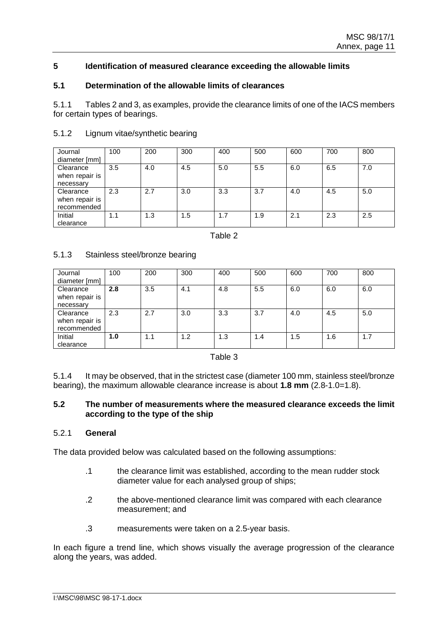### **5 Identification of measured clearance exceeding the allowable limits**

#### **5.1 Determination of the allowable limits of clearances**

5.1.1 Tables 2 and 3, as examples, provide the clearance limits of one of the IACS members for certain types of bearings.

| Journal<br>diameter [mm]                   | 100 | 200 | 300 | 400 | 500 | 600 | 700 | 800 |
|--------------------------------------------|-----|-----|-----|-----|-----|-----|-----|-----|
| Clearance<br>when repair is<br>necessary   | 3.5 | 4.0 | 4.5 | 5.0 | 5.5 | 6.0 | 6.5 | 7.0 |
| Clearance<br>when repair is<br>recommended | 2.3 | 2.7 | 3.0 | 3.3 | 3.7 | 4.0 | 4.5 | 5.0 |
| Initial<br>clearance                       | 1.1 | .3  | 1.5 | 1.7 | 1.9 | 2.1 | 2.3 | 2.5 |

#### 5.1.2 Lignum vitae/synthetic bearing

Table 2

### 5.1.3 Stainless steel/bronze bearing

| Journal<br>diameter [mm]                   | 100 | 200 | 300 | 400 | 500 | 600 | 700 | 800 |
|--------------------------------------------|-----|-----|-----|-----|-----|-----|-----|-----|
| Clearance<br>when repair is<br>necessary   | 2.8 | 3.5 | 4.1 | 4.8 | 5.5 | 6.0 | 6.0 | 6.0 |
| Clearance<br>when repair is<br>recommended | 2.3 | 2.7 | 3.0 | 3.3 | 3.7 | 4.0 | 4.5 | 5.0 |
| Initial<br>clearance                       | 1.0 | 1.1 | 1.2 | 1.3 | 1.4 | 1.5 | 1.6 | 1.7 |

Table 3

5.1.4 It may be observed, that in the strictest case (diameter 100 mm, stainless steel/bronze bearing), the maximum allowable clearance increase is about **1.8 mm** (2.8-1.0=1.8).

#### **5.2 The number of measurements where the measured clearance exceeds the limit according to the type of the ship**

#### 5.2.1 **General**

The data provided below was calculated based on the following assumptions:

- .1 the clearance limit was established, according to the mean rudder stock diameter value for each analysed group of ships;
- .2 the above-mentioned clearance limit was compared with each clearance measurement; and
- .3 measurements were taken on a 2.5-year basis.

In each figure a trend line, which shows visually the average progression of the clearance along the years, was added.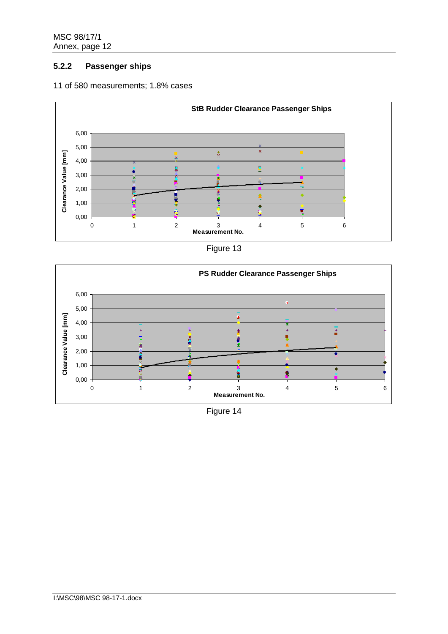# **5.2.2 Passenger ships**

### 11 of 580 measurements; 1.8% cases



| Figure 13 |
|-----------|
|-----------|



Figure 14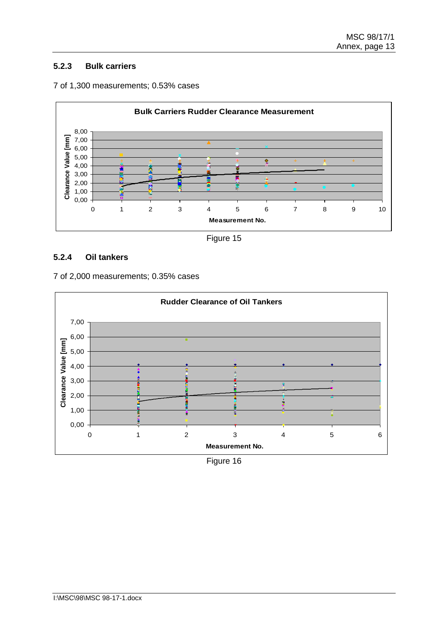# **5.2.3 Bulk carriers**





Figure 15

# **5.2.4 Oil tankers**



7 of 2,000 measurements; 0.35% cases

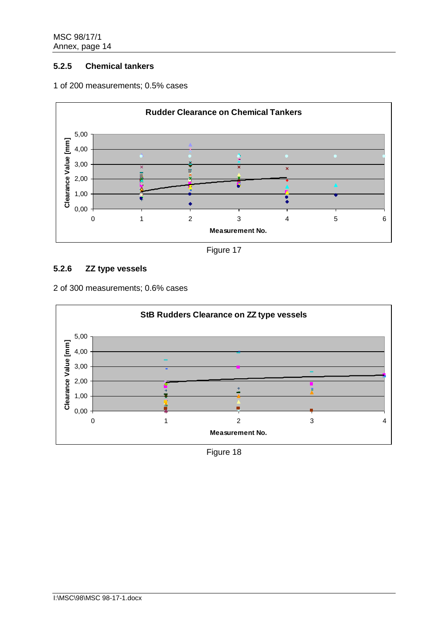# **5.2.5 Chemical tankers**





Figure 17

# **5.2.6 ZZ type vessels**

2 of 300 measurements; 0.6% cases



Figure 18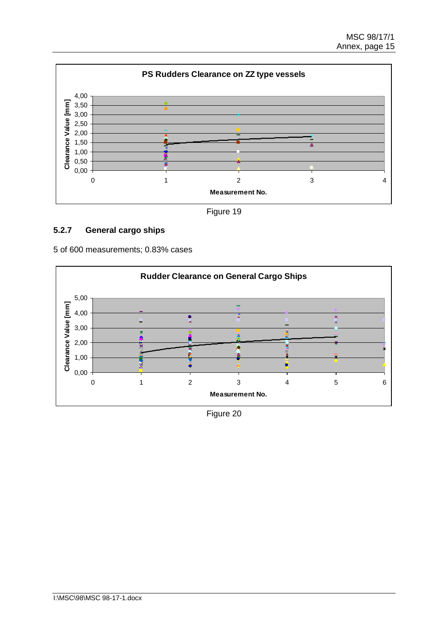

Figure 19

# **5.2.7 General cargo ships**

5 of 600 measurements; 0.83% cases



Figure 20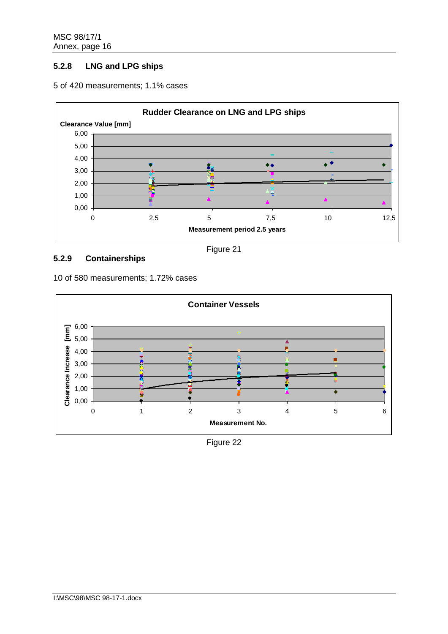# **5.2.8 LNG and LPG ships**



#### 5 of 420 measurements; 1.1% cases

# **5.2.9 Containerships**

Figure 21

10 of 580 measurements; 1.72% cases



Figure 22